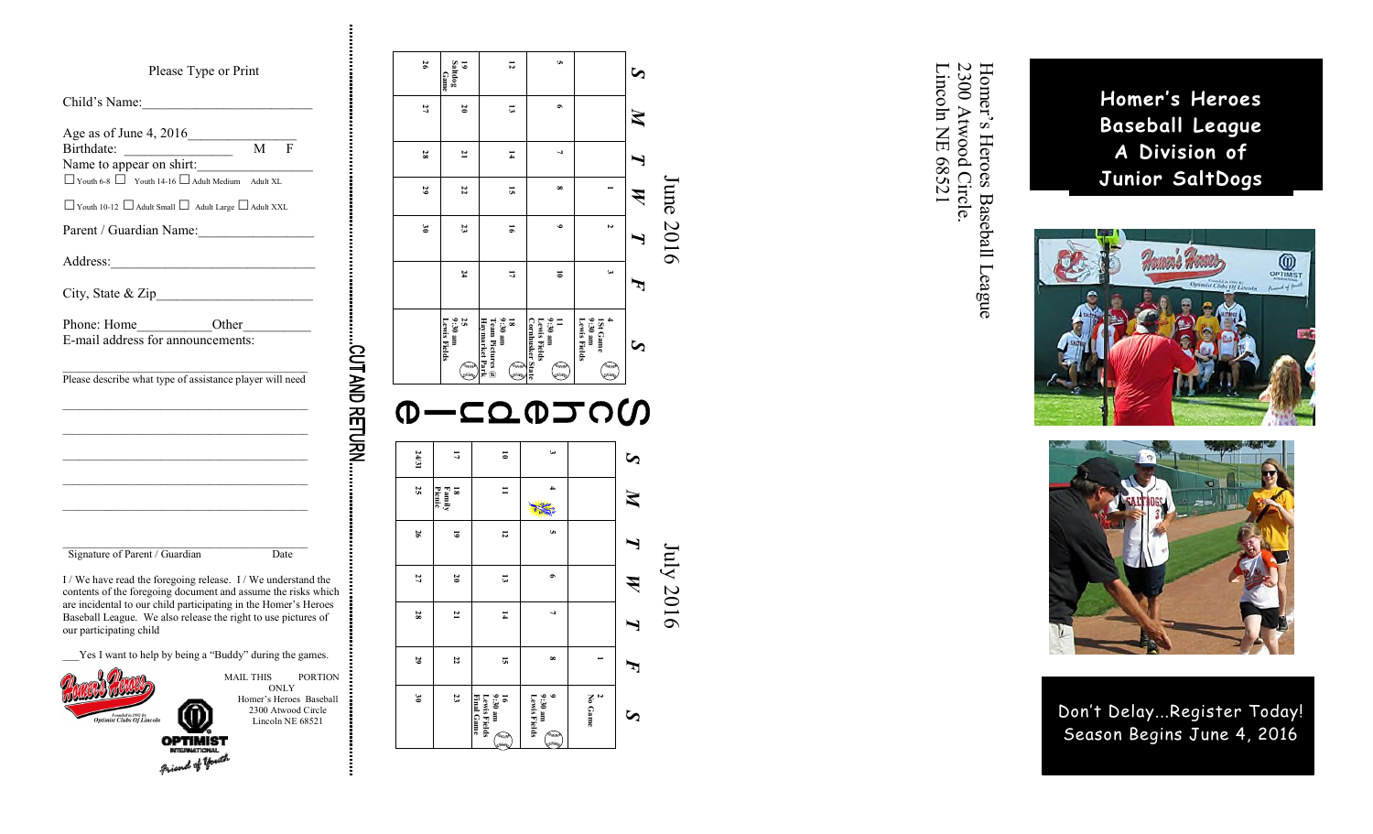#### Please Type or Print

| Birthdate: M F<br>Name to appear on shirt: M F           | Age as of June 4, 2016 | M | $\mathbf{F}$ |
|----------------------------------------------------------|------------------------|---|--------------|
| • Youth 6-8 • Youth 14-16 • Adult Medium Adult XL        |                        |   |              |
| ● Youth 10-12 ● Adult Small ● Adult Large ● Adult XXL    |                        |   |              |
| Parent / Guardian Name:                                  |                        |   |              |
|                                                          |                        |   |              |
|                                                          |                        |   |              |
|                                                          |                        |   |              |
| E-mail address for announcements:                        |                        |   |              |
| Please describe what type of assistance player will need |                        |   |              |
|                                                          |                        |   |              |

\_\_\_Yes I want to help by being a "Buddy" during the games.

s of You



our participating child

MAIL THIS PORTION **ONLY** Homer's Heroes Baseball 2300 Atwood Circle

Lincoln NE 68521

CUT AND RETURN

**5**  $26\,$ **12 26 27 Saltdog 19 Game** *S* **6** 27 **20 13** *M* **21**  $\overline{a}$ **28 14** *T* **22 8 29 15 1** *W* **3023 16 9 2** *T* **24 17 10 3** *F* 11<br>9:30 am<br>Lewis Fields<br><u>Cornhusker</u> <sup>1</sup> 25<br>9:30 am<br>Lewis Fie **Lewis Fields 9:30 am Haymarket Park Team Pictures @ 9:30 am 18 Cornhusker State Lewis Fields 9:30 am Lewis Fields 9:30 am 4 1St Game**  *S*  $\begin{picture}(220,20) \put(0,0){\line(1,0){10}} \put(15,0){\line(1,0){10}} \put(15,0){\line(1,0){10}} \put(15,0){\line(1,0){10}} \put(15,0){\line(1,0){10}} \put(15,0){\line(1,0){10}} \put(15,0){\line(1,0){10}} \put(15,0){\line(1,0){10}} \put(15,0){\line(1,0){10}} \put(15,0){\line(1,0){10}} \put(15,0){\line(1,0){10}} \put(15,0){\line($ ١ **Keeping**  $rac{2}{2}$ ويبيبي **Q-CQQJOG 24/31 3** *S* **10 17 25 11 4 Picnic Family 18** *M* **The Second Street 12 5 26 19** *T W* **27 20 13 6 28 21 14**  $\overline{a}$ *T* **29 22 15 8**  $\overline{a}$ *F* 9<br>9:30 am<br>Lewis Fields **2 30 23 Final Game Lewis Fields 9:30 am 16 Lewis Fields 9:30 am No Game** *S*  $\curvearrowleft$ **Read** 



June 2016

**June 2016** 

July 2016

Homer's Heroes Baseball League<br>2300 Atwood Circle.<br>Lincoln NE 68521 Homer's Heroes

Baseball League

Lincoln NE 68521 2300 Atwood Circle.



**Homer's Heroes Baseball League A Division of Junior SaltDogs**



Don't Delay...Register Today! Season Begins June 4, 2016